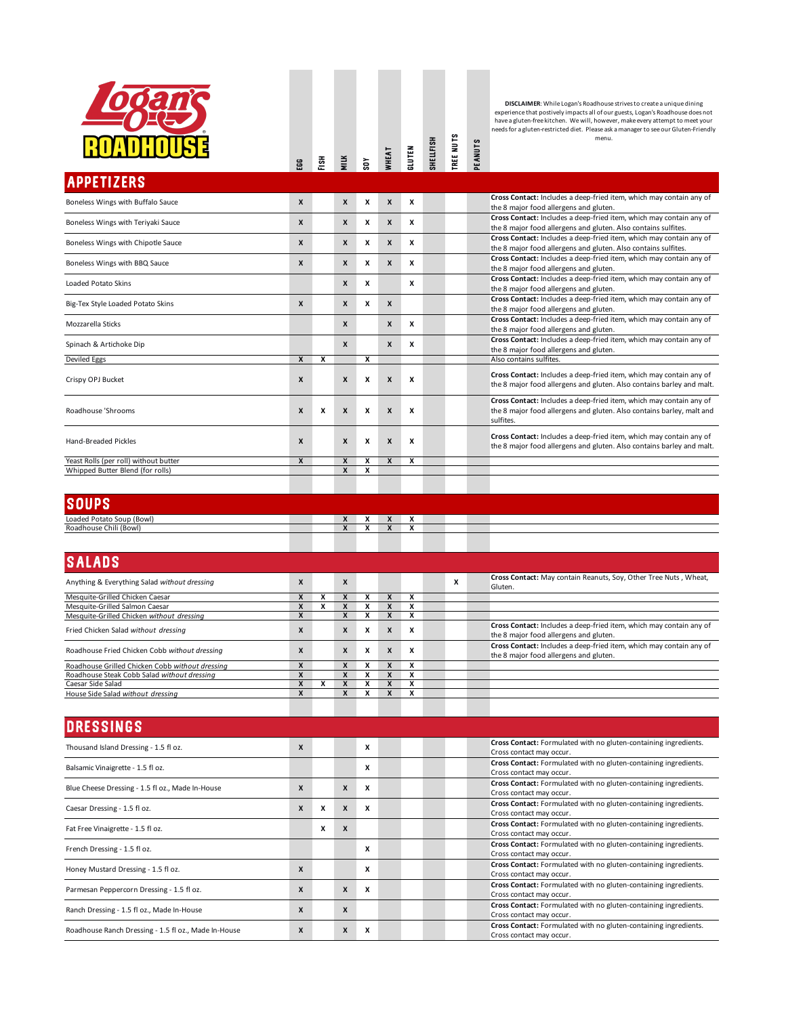

## TREE NUTS<br>Peanuts SHELLFISH tree nuts shellfish gluten wheat soy egg Fish milk

**DISCLAIMER:** While Logan's Roadhouse strives to create a unique dining<br>experience that postively impacts all of our guests, Logan's Roadhouse does not<br>have a gluten-free kitchen. We will, however, make every attempt to me

| <b>APPETIZERS</b>                     |   |   |              |   |                  |   |                                                                                                                                                           |
|---------------------------------------|---|---|--------------|---|------------------|---|-----------------------------------------------------------------------------------------------------------------------------------------------------------|
| Boneless Wings with Buffalo Sauce     | X |   | X            | x | $\mathsf{x}$     | x | Cross Contact: Includes a deep-fried item, which may contain any of<br>the 8 major food allergens and gluten.                                             |
| Boneless Wings with Teriyaki Sauce    | X |   | X            | x | $\boldsymbol{x}$ | x | Cross Contact: Includes a deep-fried item, which may contain any of<br>the 8 major food allergens and gluten. Also contains sulfites.                     |
| Boneless Wings with Chipotle Sauce    | X |   | X            | x | $\boldsymbol{x}$ | x | Cross Contact: Includes a deep-fried item, which may contain any of<br>the 8 major food allergens and gluten. Also contains sulfites.                     |
| Boneless Wings with BBQ Sauce         | X |   | X            | x | $\boldsymbol{x}$ | x | Cross Contact: Includes a deep-fried item, which may contain any of<br>the 8 major food allergens and gluten.                                             |
| Loaded Potato Skins                   |   |   | X            | x |                  | x | Cross Contact: Includes a deep-fried item, which may contain any of<br>the 8 major food allergens and gluten.                                             |
| Big-Tex Style Loaded Potato Skins     | X |   | X            | x | $\boldsymbol{x}$ |   | Cross Contact: Includes a deep-fried item, which may contain any of<br>the 8 major food allergens and gluten.                                             |
| Mozzarella Sticks                     |   |   | X            |   | $\boldsymbol{x}$ | x | Cross Contact: Includes a deep-fried item, which may contain any of<br>the 8 major food allergens and gluten.                                             |
| Spinach & Artichoke Dip               |   |   | X            |   | $\mathsf{x}$     | x | Cross Contact: Includes a deep-fried item, which may contain any of<br>the 8 major food allergens and gluten.                                             |
| Deviled Eggs                          | X | x |              | x |                  |   | Also contains sulfites.                                                                                                                                   |
| Crispy OPJ Bucket                     | X |   | X            | X | $\boldsymbol{x}$ | X | Cross Contact: Includes a deep-fried item, which may contain any of<br>the 8 major food allergens and gluten. Also contains barley and malt.              |
| Roadhouse 'Shrooms                    | X | x | $\mathbf{x}$ | x | $\boldsymbol{x}$ | x | Cross Contact: Includes a deep-fried item, which may contain any of<br>the 8 major food allergens and gluten. Also contains barley, malt and<br>sulfites. |
| <b>Hand-Breaded Pickles</b>           | X |   | X            | x | $\boldsymbol{x}$ | X | Cross Contact: Includes a deep-fried item, which may contain any of<br>the 8 major food allergens and gluten. Also contains barley and malt.              |
| Yeast Rolls (per roll) without butter | X |   | X            | x | X                | x |                                                                                                                                                           |
| Whipped Butter Blend (for rolls)      |   |   | $\mathbf{x}$ | x |                  |   |                                                                                                                                                           |
|                                       |   |   |              |   |                  |   |                                                                                                                                                           |

| <b>SOUPS</b>              |                                          |                          |              |                |  |  |  |
|---------------------------|------------------------------------------|--------------------------|--------------|----------------|--|--|--|
| Loaded Potato Soup (Bowl) | $\overline{\phantom{a}}$<br>$\mathbf{v}$ | . .<br>$\mathbf{v}$      | $\mathbf{v}$ | Λ              |  |  |  |
| Roadhouse Chili (Bowl)    | $\overline{\phantom{a}}$<br>$\mathbf{v}$ | $\overline{\phantom{a}}$ | $\mathbf{v}$ | $\overline{ }$ |  |  |  |

| <b>SALADS</b>                                   |   |   |   |              |   |   |                                                                                                               |
|-------------------------------------------------|---|---|---|--------------|---|---|---------------------------------------------------------------------------------------------------------------|
| Anything & Everything Salad without dressing    | X | X |   |              |   | x | Cross Contact: May contain Reanuts, Soy, Other Tree Nuts, Wheat,<br>Gluten.                                   |
| Mesquite-Grilled Chicken Caesar                 |   |   |   |              |   |   |                                                                                                               |
| Mesquite-Grilled Salmon Caesar                  |   |   |   |              |   |   |                                                                                                               |
| Mesquite-Grilled Chicken without dressing       | X | x |   |              |   |   |                                                                                                               |
| Fried Chicken Salad without dressing            | X | X | X | X            | X |   | Cross Contact: Includes a deep-fried item, which may contain any of<br>the 8 major food allergens and gluten. |
| Roadhouse Fried Chicken Cobb without dressing   | X | X | X | $\mathbf{x}$ | X |   | Cross Contact: Includes a deep-fried item, which may contain any of<br>the 8 major food allergens and gluten. |
| Roadhouse Grilled Chicken Cobb without dressing |   |   |   |              |   |   |                                                                                                               |
| Roadhouse Steak Cobb Salad without dressing     |   |   |   |              |   |   |                                                                                                               |
| Caesar Side Salad                               |   |   |   |              |   |   |                                                                                                               |
| House Side Salad without dressing               | X | x |   |              |   |   |                                                                                                               |
|                                                 |   |   |   |              |   |   |                                                                                                               |

| <b>DRESSINGS</b>                                     |              |   |                  |   |                                                                                              |
|------------------------------------------------------|--------------|---|------------------|---|----------------------------------------------------------------------------------------------|
| Thousand Island Dressing - 1.5 fl oz.                | X            |   |                  | x | Cross Contact: Formulated with no gluten-containing ingredients.<br>Cross contact may occur. |
| Balsamic Vinaigrette - 1.5 fl oz.                    |              |   |                  | x | Cross Contact: Formulated with no gluten-containing ingredients.<br>Cross contact may occur. |
| Blue Cheese Dressing - 1.5 fl oz., Made In-House     | $\mathbf{x}$ |   | $\mathbf{x}$     | x | Cross Contact: Formulated with no gluten-containing ingredients.<br>Cross contact may occur. |
| Caesar Dressing - 1.5 fl oz.                         | X            | x | $\boldsymbol{x}$ | x | Cross Contact: Formulated with no gluten-containing ingredients.<br>Cross contact may occur. |
| Fat Free Vinaigrette - 1.5 fl oz.                    |              | X | $\boldsymbol{x}$ |   | Cross Contact: Formulated with no gluten-containing ingredients.<br>Cross contact may occur. |
| French Dressing - 1.5 fl oz.                         |              |   |                  | x | Cross Contact: Formulated with no gluten-containing ingredients.<br>Cross contact may occur. |
| Honey Mustard Dressing - 1.5 fl oz.                  | X            |   |                  | X | Cross Contact: Formulated with no gluten-containing ingredients.<br>Cross contact may occur. |
| Parmesan Peppercorn Dressing - 1.5 fl oz.            | X            |   | X                | x | Cross Contact: Formulated with no gluten-containing ingredients.<br>Cross contact may occur. |
| Ranch Dressing - 1.5 fl oz., Made In-House           | X            |   | X                |   | Cross Contact: Formulated with no gluten-containing ingredients.<br>Cross contact may occur. |
| Roadhouse Ranch Dressing - 1.5 fl oz., Made In-House | X            |   | X                | x | Cross Contact: Formulated with no gluten-containing ingredients.<br>Cross contact may occur. |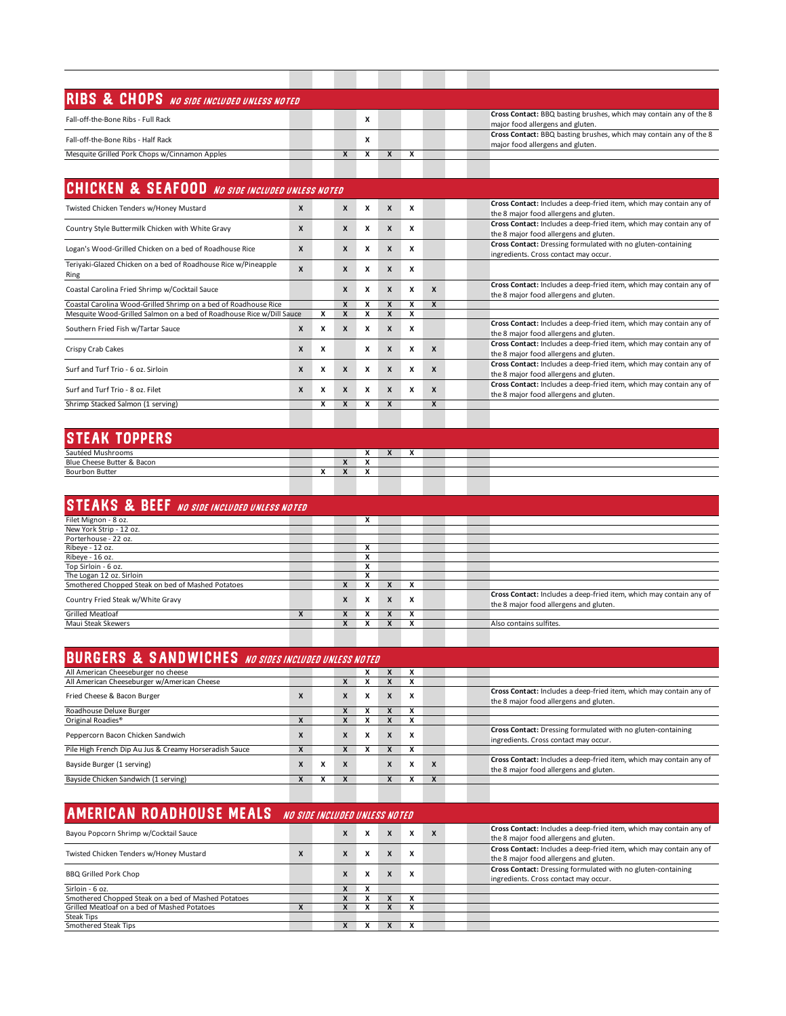| RIBS & CHOPS NO SIDE INCLUDED UNLESS NOTED    |  |   |   |  |  |                                                                                                        |
|-----------------------------------------------|--|---|---|--|--|--------------------------------------------------------------------------------------------------------|
| Fall-off-the-Bone Ribs - Full Rack            |  |   | x |  |  | Cross Contact: BBQ basting brushes, which may contain any of the 8<br>major food allergens and gluten. |
| Fall-off-the-Bone Ribs - Half Rack            |  |   | X |  |  | Cross Contact: BBQ basting brushes, which may contain any of the 8<br>major food allergens and gluten. |
| Mesquite Grilled Pork Chops w/Cinnamon Apples |  | x |   |  |  |                                                                                                        |
|                                               |  |   |   |  |  |                                                                                                        |

| <b>CHICKEN &amp; SEAFOOD</b> NO SIDE INCLUDED UNLESS NOTED             |                  |   |                  |   |              |   |                  |                                                                                                               |  |  |  |  |  |
|------------------------------------------------------------------------|------------------|---|------------------|---|--------------|---|------------------|---------------------------------------------------------------------------------------------------------------|--|--|--|--|--|
| Twisted Chicken Tenders w/Honey Mustard                                | X                |   | $\mathsf{x}$     | x | $\mathsf{x}$ | x |                  | Cross Contact: Includes a deep-fried item, which may contain any of<br>the 8 major food allergens and gluten. |  |  |  |  |  |
| Country Style Buttermilk Chicken with White Gravy                      | X                |   | X                | X | X            | x |                  | Cross Contact: Includes a deep-fried item, which may contain any of<br>the 8 major food allergens and gluten. |  |  |  |  |  |
| Logan's Wood-Grilled Chicken on a bed of Roadhouse Rice                | $\mathbf{x}$     |   | X                | X | X            | x |                  | Cross Contact: Dressing formulated with no gluten-containing<br>ingredients. Cross contact may occur.         |  |  |  |  |  |
| Teriyaki-Glazed Chicken on a bed of Roadhouse Rice w/Pineapple<br>Ring | X                |   | X                | x | X            | x |                  |                                                                                                               |  |  |  |  |  |
| Coastal Carolina Fried Shrimp w/Cocktail Sauce                         |                  |   | X                | x | X            | x | X                | Cross Contact: Includes a deep-fried item, which may contain any of<br>the 8 major food allergens and gluten. |  |  |  |  |  |
| Coastal Carolina Wood-Grilled Shrimp on a bed of Roadhouse Rice        |                  |   |                  |   |              |   | X                |                                                                                                               |  |  |  |  |  |
| Mesquite Wood-Grilled Salmon on a bed of Roadhouse Rice w/Dill Sauce   |                  |   |                  |   |              |   |                  |                                                                                                               |  |  |  |  |  |
| Southern Fried Fish w/Tartar Sauce                                     | X                | x | $\mathsf{x}$     | X | $\mathsf{x}$ | x |                  | Cross Contact: Includes a deep-fried item, which may contain any of<br>the 8 major food allergens and gluten. |  |  |  |  |  |
| Crispy Crab Cakes                                                      | X                | X |                  | x | X            | x | X                | Cross Contact: Includes a deep-fried item, which may contain any of<br>the 8 major food allergens and gluten. |  |  |  |  |  |
| Surf and Turf Trio - 6 oz. Sirloin                                     | X                | x | $\boldsymbol{x}$ | X | X            | x | X                | Cross Contact: Includes a deep-fried item, which may contain any of<br>the 8 major food allergens and gluten. |  |  |  |  |  |
| Surf and Turf Trio - 8 oz. Filet                                       | $\boldsymbol{x}$ | x | $\mathbf{x}$     | x | $\mathbf{x}$ | x | $\boldsymbol{x}$ | Cross Contact: Includes a deep-fried item, which may contain any of<br>the 8 major food allergens and gluten. |  |  |  |  |  |
| Shrimp Stacked Salmon (1 serving)                                      |                  | x | $\mathbf{x}$     | x | X            |   | X                |                                                                                                               |  |  |  |  |  |
|                                                                        |                  |   |                  |   |              |   |                  |                                                                                                               |  |  |  |  |  |

## steak toppers

| Sautéed Mushrooms          |                                      |                                          | $\ddot{\phantom{1}}$<br>$\mathbf{v}$ | $\bullet$<br>$\mathbf{v}$ | $\ddot{\phantom{0}}$<br>$\mathbf{v}$ |  |  |
|----------------------------|--------------------------------------|------------------------------------------|--------------------------------------|---------------------------|--------------------------------------|--|--|
| Blue Cheese Butter & Bacon |                                      | $\mathbf{v}$                             | $\ddot{\phantom{1}}$<br>$\mathbf{v}$ |                           |                                      |  |  |
| <b>Bourbon Butter</b>      | $\ddot{\phantom{0}}$<br>$\mathbf{r}$ | $\overline{\phantom{a}}$<br>$\mathbf{r}$ | $\ddot{\phantom{0}}$<br>$\mathbf{v}$ |                           |                                      |  |  |
|                            |                                      |                                          |                                      |                           |                                      |  |  |
|                            |                                      |                                          |                                      |                           |                                      |  |  |

| <b>STEAKS &amp; BEEF</b> NO SIDE INCLUDED UNLESS NOTED |   |                  |   |              |   |  |                                                                                                               |
|--------------------------------------------------------|---|------------------|---|--------------|---|--|---------------------------------------------------------------------------------------------------------------|
| Filet Mignon - 8 oz.                                   |   |                  |   |              |   |  |                                                                                                               |
| New York Strip - 12 oz.                                |   |                  |   |              |   |  |                                                                                                               |
| Porterhouse - 22 oz.                                   |   |                  |   |              |   |  |                                                                                                               |
| Ribeye - 12 oz.                                        |   |                  | л |              |   |  |                                                                                                               |
| Ribeye - 16 oz.                                        |   |                  |   |              |   |  |                                                                                                               |
| Top Sirloin - 6 oz.                                    |   |                  |   |              |   |  |                                                                                                               |
| The Logan 12 oz. Sirloin                               |   |                  |   |              |   |  |                                                                                                               |
| Smothered Chopped Steak on bed of Mashed Potatoes      |   | x                |   | X            |   |  |                                                                                                               |
| Country Fried Steak w/White Gravy                      |   | $\boldsymbol{x}$ | X | $\mathbf{x}$ | X |  | Cross Contact: Includes a deep-fried item, which may contain any of<br>the 8 major food allergens and gluten. |
| <b>Grilled Meatloaf</b>                                | X |                  |   |              |   |  |                                                                                                               |
| Maui Steak Skewers                                     |   |                  |   |              |   |  | Also contains sulfites.                                                                                       |
|                                                        |   |                  |   |              |   |  |                                                                                                               |

|                                                        |                  |   |                  | <b>BURGERS &amp; SANDWICHES</b> NO SIDES INCLUDED UNLESS NOTED |              |   |   |                                                                                                               |
|--------------------------------------------------------|------------------|---|------------------|----------------------------------------------------------------|--------------|---|---|---------------------------------------------------------------------------------------------------------------|
| All American Cheeseburger no cheese                    |                  |   |                  |                                                                |              |   |   |                                                                                                               |
| All American Cheeseburger w/American Cheese            |                  |   |                  |                                                                |              |   |   |                                                                                                               |
| Fried Cheese & Bacon Burger                            | X                |   | X                | x                                                              | $\mathbf{x}$ | X |   | Cross Contact: Includes a deep-fried item, which may contain any of<br>the 8 major food allergens and gluten. |
| Roadhouse Deluxe Burger                                |                  |   |                  |                                                                |              |   |   |                                                                                                               |
| Original Roadies <sup>®</sup>                          |                  |   |                  |                                                                |              |   |   |                                                                                                               |
| Peppercorn Bacon Chicken Sandwich                      | X                |   | X                |                                                                | X            | X |   | Cross Contact: Dressing formulated with no gluten-containing<br>ingredients. Cross contact may occur.         |
| Pile High French Dip Au Jus & Creamy Horseradish Sauce |                  |   |                  |                                                                |              |   |   |                                                                                                               |
| Bayside Burger (1 serving)                             | $\boldsymbol{x}$ | x | $\boldsymbol{x}$ |                                                                | $\mathbf{x}$ | X | X | Cross Contact: Includes a deep-fried item, which may contain any of<br>the 8 major food allergens and gluten. |
| Bayside Chicken Sandwich (1 serving)                   |                  |   |                  |                                                                |              |   |   |                                                                                                               |

| <b>AMERICAN ROADHOUSE MEALS</b> NO SIDE INCLUDED UNLESS NOTED |              |  |              |                                        |                  |   |                  |                                                                                                               |  |  |  |  |  |  |
|---------------------------------------------------------------|--------------|--|--------------|----------------------------------------|------------------|---|------------------|---------------------------------------------------------------------------------------------------------------|--|--|--|--|--|--|
| Bayou Popcorn Shrimp w/Cocktail Sauce                         |              |  | X            | $\lambda$<br>$\boldsymbol{\mathsf{A}}$ | $\mathbf{x}$     | x | $\boldsymbol{x}$ | Cross Contact: Includes a deep-fried item, which may contain any of<br>the 8 major food allergens and gluten. |  |  |  |  |  |  |
| Twisted Chicken Tenders w/Honey Mustard                       | $\mathbf{A}$ |  | $\mathbf{x}$ | $\lambda$                              | $\boldsymbol{x}$ | x |                  | Cross Contact: Includes a deep-fried item, which may contain any of<br>the 8 major food allergens and gluten. |  |  |  |  |  |  |
| BBQ Grilled Pork Chop                                         |              |  | X            | $\lambda$                              | X                | x |                  | Cross Contact: Dressing formulated with no gluten-containing<br>ingredients. Cross contact may occur.         |  |  |  |  |  |  |
| Sirloin - 6 oz.                                               |              |  | <b>x</b>     |                                        |                  |   |                  |                                                                                                               |  |  |  |  |  |  |
| Smothered Chopped Steak on a bed of Mashed Potatoes           |              |  |              |                                        |                  |   |                  |                                                                                                               |  |  |  |  |  |  |
| Grilled Meatloaf on a bed of Mashed Potatoes                  |              |  |              |                                        |                  |   |                  |                                                                                                               |  |  |  |  |  |  |
| Steak Tips                                                    |              |  |              |                                        |                  |   |                  |                                                                                                               |  |  |  |  |  |  |
| Smothered Steak Tips                                          |              |  |              |                                        |                  |   |                  |                                                                                                               |  |  |  |  |  |  |